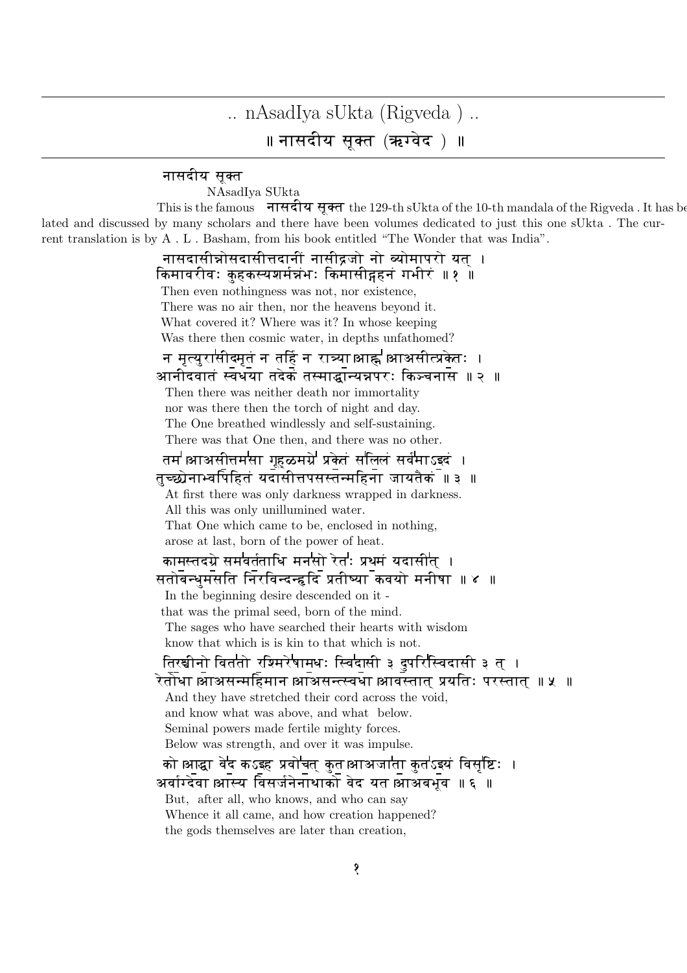## .. nAsadIya sUkta (Rigveda ) .. ॥ नासदीय सूक्त (ऋग्वेद ) ॥

## नासदीय सक्त

NAsadIya SUkta

This is the famous  $\vec{\mathbf{H}}$   $\vec{\mathbf{H}}$   $\vec{\mathbf{H}}$   $\vec{\mathbf{H}}$   $\vec{\mathbf{H}}$   $\vec{\mathbf{H}}$  the 129-th sUkta of the 10-th mandala of the Rigveda . It has be lated and discussed by many scholars and there have been volumes dedicated to just this one sUkta . The current translation is by A . L . Basham, from his book entitled "The Wonder that was India".

> नासदासीन्नोसदासीत्तदानीं नासीद्रजो नो व्योमापरो यत । किमावरीवः कहकस्यशर्मन्नभः किमासीद्गहनं गभीरं ॥१ ॥ Then even nothingness was not, nor existence, There was no air then, nor the heavens beyond it. What covered it? Where was it? In whose keeping Was there then cosmic water, in depths unfathomed? न मृत्युरासीदमृत न तद्दि न रात्र्याआह्न आअसीत्प्रकेतः । आनीदवातं स्वधया तदेकं तस्माद्धान्यन्नपरः किञ्चनास ॥ २ ॥ Then there was neither death nor immortality nor was there then the torch of night and day. The One breathed windlessly and self-sustaining. There was that One then, and there was no other. तम॑ आअसीत्तम॑सा गृहळमग्रे॑ प्रकेतं स॑लिलं सर्व॑माऽइदं । तच्छोनाभ्वपिहितं यदासीत्तपसस्तन्महिना जायतैक $\overline{\phantom{a}}$ ॥ ३ ॥ At first there was only darkness wrapped in darkness. All this was only unillumined water. That One which came to be, enclosed in nothing, arose at last, born of the power of heat. कामस्तदग्रे सम<sup>1</sup>वर्तताधि मन<sup>1</sup>सो रेत<sup>!</sup>: प्रथमं यदासीत् । सतोबन्धमसति निरविन्दन्हदि प्रतीष्या कवयो मनीषा ॥ ४ ॥ In the beginning desire descended on it that was the primal seed, born of the mind. The sages who have searched their hearts with wisdom know that which is is kin to that which is not. तिरश्चीनो वितती रश्मिरे**षामधः स्विदासी ३ दुपरिस्विदासी ३ त्** । rtoDA।aAasmEhmAn।aAas(-vDA।aAv-tAt^ þyEt, pr-tAt^ ॥ 5 ॥ And they have stretched their cord across the void, and know what was above, and what below. Seminal powers made fertile mighty forces. Below was strength, and over it was impulse. को आद्धा वेद कऽइह प्रवोचत कुत आअजाता कुतऽइयं विसृष्टिः । अर्वाग्देवा आस्य विसर्जनेनाथाको वेद यत आअबभव ॥ ६ ॥ But, after all, who knows, and who can say Whence it all came, and how creation happened? the gods themselves are later than creation,